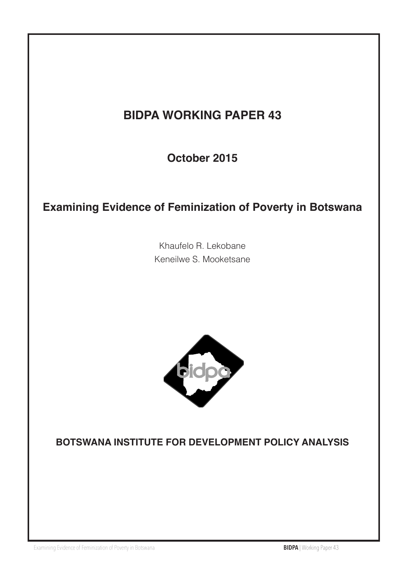# **BIDPA WORKING PAPER 43**

**October 2015**

# **Examining Evidence of Feminization of Poverty in Botswana**

Khaufelo R. Lekobane Keneilwe S. Mooketsane



### **BOTSWANA INSTITUTE FOR DEVELOPMENT POLICY ANALYSIS**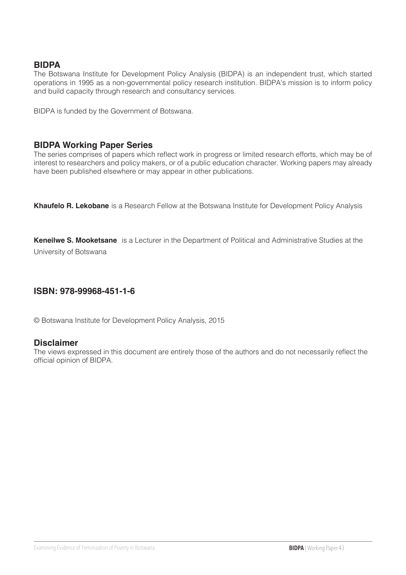#### **BIDPA**

The Botswana Institute for Development Policy Analysis (BIDPA) is an independent trust, which started operations in 1995 as a non-governmental policy research institution. BIDPA's mission is to inform policy and build capacity through research and consultancy services.

BIDPA is funded by the Government of Botswana.

#### **BIDPA Working Paper Series**

The series comprises of papers which reflect work in progress or limited research efforts, which may be of interest to researchers and policy makers, or of a public education character. Working papers may already have been published elsewhere or may appear in other publications.

**Khaufelo R. Lekobane** is a Research Fellow at the Botswana Institute for Development Policy Analysis

**Keneilwe S. Mooketsane** is a Lecturer in the Department of Political and Administrative Studies at the University of Botswana

#### **ISBN: 978-99968-451-1-6**

© Botswana Institute for Development Policy Analysis, 2015

#### **Disclaimer**

The views expressed in this document are entirely those of the authors and do not necessarily reflect the official opinion of BIDPA.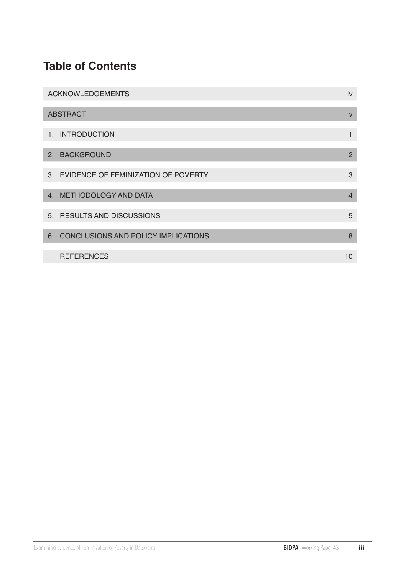# **Table of Contents**

| <b>ACKNOWLEDGEMENTS</b>                | iv             |
|----------------------------------------|----------------|
| <b>ABSTRACT</b>                        | $\mathsf{V}$   |
| 1. INTRODUCTION                        | 1              |
| 2. BACKGROUND                          | $\mathcal{P}$  |
| 3. EVIDENCE OF FEMINIZATION OF POVERTY | 3              |
| 4. METHODOLOGY AND DATA                | $\overline{4}$ |
| 5. RESULTS AND DISCUSSIONS             | 5              |
| 6. CONCLUSIONS AND POLICY IMPLICATIONS | 8              |
| <b>REFERENCES</b>                      | 10             |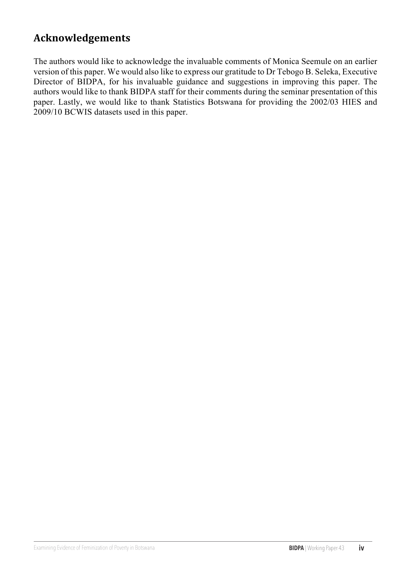### **Acknowledgements**

The authors would like to acknowledge the invaluable comments of Monica Seemule on an earlier version of this paper. We would also like to express our gratitude to Dr Tebogo B. Seleka, Executive Director of BIDPA, for his invaluable guidance and suggestions in improving this paper. The authors would like to thank BIDPA staff for their comments during the seminar presentation of this paper. Lastly, we would like to thank Statistics Botswana for providing the 2002/03 HIES and 2009/10 BCWIS datasets used in this paper.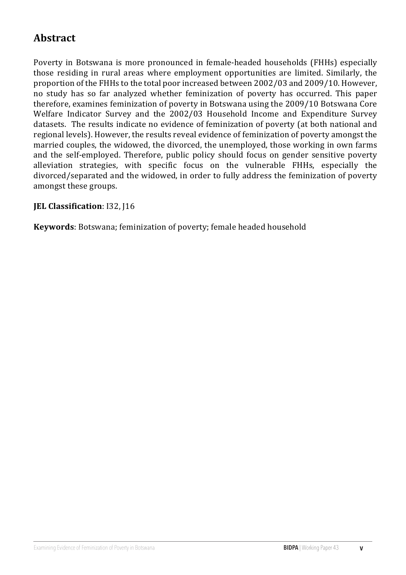## **Abstract**

Poverty in Botswana is more pronounced in female-headed households (FHHs) especially those residing in rural areas where employment opportunities are limited. Similarly, the proportion of the FHHs to the total poor increased between 2002/03 and 2009/10. However, no study has so far analyzed whether feminization of poverty has occurred. This paper therefore, examines feminization of poverty in Botswana using the 2009/10 Botswana Core Welfare Indicator Survey and the 2002/03 Household Income and Expenditure Survey datasets. The results indicate no evidence of feminization of poverty (at both national and regional levels). However, the results reveal evidence of feminization of poverty amongst the married couples, the widowed, the divorced, the unemployed, those working in own farms and the self-employed. Therefore, public policy should focus on gender sensitive poverty alleviation strategies, with specific focus on the vulnerable FHHs, especially the divorced/separated and the widowed, in order to fully address the feminization of poverty amongst these groups.

### **JEL Classification**: I32, J16

**Keywords**: Botswana; feminization of poverty; female headed household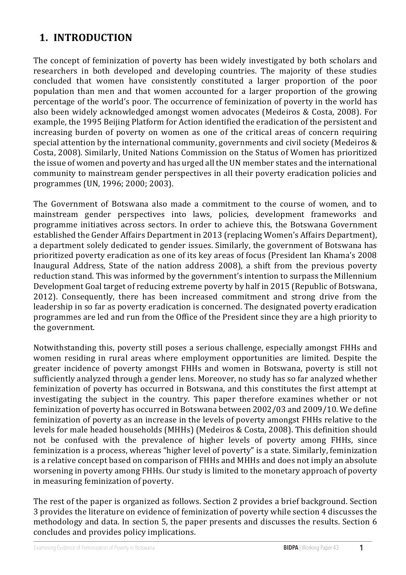## **1. INTRODUCTION**

The concept of feminization of poverty has been widely investigated by both scholars and researchers in both developed and developing countries. The majority of these studies concluded that women have consistently constituted a larger proportion of the poor population than men and that women accounted for a larger proportion of the growing percentage of the world's poor. The occurrence of feminization of poverty in the world has also been widely acknowledged amongst women advocates (Medeiros & Costa, 2008). For example, the 1995 Beijing Platform for Action identified the eradication of the persistent and increasing burden of poverty on women as one of the critical areas of concern requiring special attention by the international community, governments and civil society (Medeiros  $&$ Costa, 2008). Similarly, United Nations Commission on the Status of Women has prioritized the issue of women and poverty and has urged all the UN member states and the international community to mainstream gender perspectives in all their poverty eradication policies and programmes (UN, 1996; 2000; 2003).

The Government of Botswana also made a commitment to the course of women, and to mainstream gender perspectives into laws, policies, development frameworks and programme initiatives across sectors. In order to achieve this, the Botswana Government established the Gender Affairs Department in 2013 (replacing Women's Affairs Department), a department solely dedicated to gender issues. Similarly, the government of Botswana has prioritized poverty eradication as one of its key areas of focus (President Ian Khama's 2008 Inaugural Address, State of the nation address 2008), a shift from the previous poverty reduction stand. This was informed by the government's intention to surpass the Millennium Development Goal target of reducing extreme poverty by half in 2015 (Republic of Botswana, 2012). Consequently, there has been increased commitment and strong drive from the leadership in so far as poverty eradication is concerned. The designated poverty eradication programmes are led and run from the Office of the President since they are a high priority to the government.

Notwithstanding this, poverty still poses a serious challenge, especially amongst FHHs and women residing in rural areas where employment opportunities are limited. Despite the greater incidence of poverty amongst FHHs and women in Botswana, poverty is still not sufficiently analyzed through a gender lens. Moreover, no study has so far analyzed whether feminization of poverty has occurred in Botswana, and this constitutes the first attempt at investigating the subject in the country. This paper therefore examines whether or not feminization of poverty has occurred in Botswana between 2002/03 and 2009/10. We define feminization of poverty as an increase in the levels of poverty amongst FHHs relative to the levels for male headed households (MHHs) (Medeiros & Costa, 2008). This definition should not be confused with the prevalence of higher levels of poverty among FHHs, since feminization is a process, whereas "higher level of poverty" is a state. Similarly, feminization is a relative concept based on comparison of FHHs and MHHs and does not imply an absolute worsening in poverty among FHHs. Our study is limited to the monetary approach of poverty in measuring feminization of poverty.

 $\overline{1}$ The rest of the paper is organized as follows. Section 2 provides a brief background. Section 3 provides the literature on evidence of feminization of poverty while section 4 discusses the methodology and data. In section 5, the paper presents and discusses the results. Section 6 concludes and provides policy implications.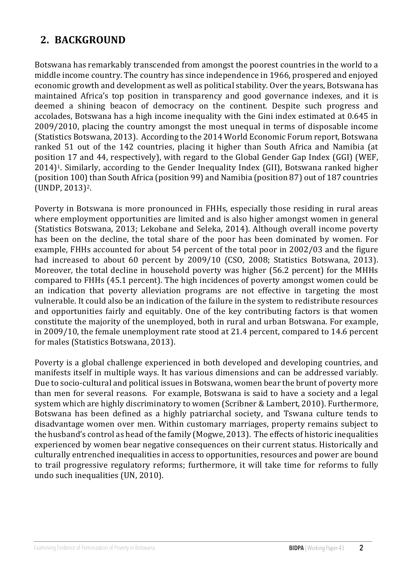## **2. BACKGROUND**

Botswana has remarkably transcended from amongst the poorest countries in the world to a middle income country. The country has since independence in 1966, prospered and enjoyed economic growth and development as well as political stability. Over the years, Botswana has maintained Africa's top position in transparency and good governance indexes, and it is deemed a shining beacon of democracy on the continent. Despite such progress and accolades, Botswana has a high income inequality with the Gini index estimated at 0.645 in 2009/2010, placing the country amongst the most unequal in terms of disposable income (Statistics Botswana, 2013). According to the 2014 World Economic Forum report, Botswana ranked 51 out of the 142 countries, placing it higher than South Africa and Namibia (at position 17 and 44, respectively), with regard to the Global Gender Gap Index (GGI) (WEF,  $2014$ <sup>[1]</sup>. Similarly, according to the Gender Inequality Index (GII), Botswana ranked higher (position 100) than South Africa (position 99) and Namibia (position 87) out of 187 countries (UNDP, 2013)2. 

Poverty in Botswana is more pronounced in FHHs, especially those residing in rural areas where employment opportunities are limited and is also higher amongst women in general (Statistics Botswana, 2013; Lekobane and Seleka, 2014). Although overall income poverty has been on the decline, the total share of the poor has been dominated by women. For example, FHHs accounted for about 54 percent of the total poor in 2002/03 and the figure had increased to about 60 percent by 2009/10 (CSO, 2008; Statistics Botswana, 2013). Moreover, the total decline in household poverty was higher (56.2 percent) for the MHHs compared to FHHs (45.1 percent). The high incidences of poverty amongst women could be an indication that poverty alleviation programs are not effective in targeting the most vulnerable. It could also be an indication of the failure in the system to redistribute resources and opportunities fairly and equitably. One of the key contributing factors is that women constitute the majority of the unemployed, both in rural and urban Botswana. For example, in 2009/10, the female unemployment rate stood at 21.4 percent, compared to 14.6 percent for males (Statistics Botswana, 2013).

Poverty is a global challenge experienced in both developed and developing countries, and manifests itself in multiple ways. It has various dimensions and can be addressed variably. Due to socio-cultural and political issues in Botswana, women bear the brunt of poverty more than men for several reasons. For example, Botswana is said to have a society and a legal system which are highly discriminatory to women (Scribner & Lambert, 2010). Furthermore, Botswana has been defined as a highly patriarchal society, and Tswana culture tends to disadvantage women over men. Within customary marriages, property remains subject to the husband's control as head of the family (Mogwe, 2013). The effects of historic inequalities experienced by women bear negative consequences on their current status. Historically and culturally entrenched inequalities in access to opportunities, resources and power are bound to trail progressive regulatory reforms; furthermore, it will take time for reforms to fully undo such inequalities (UN, 2010).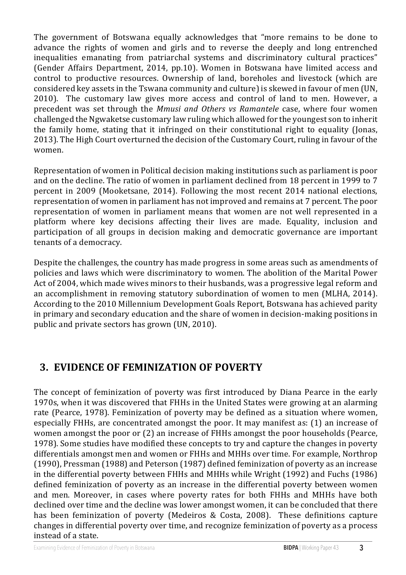The government of Botswana equally acknowledges that "more remains to be done to advance the rights of women and girls and to reverse the deeply and long entrenched inequalities emanating from patriarchal systems and discriminatory cultural practices" (Gender Affairs Department, 2014, pp.10). Women in Botswana have limited access and control to productive resources. Ownership of land, boreholes and livestock (which are considered key assets in the Tswana community and culture) is skewed in favour of men (UN, 2010). The customary law gives more access and control of land to men. However, a precedent was set through the *Mmusi and Others vs Ramantele* case, where four women challenged the Ngwaketse customary law ruling which allowed for the youngest son to inherit the family home, stating that it infringed on their constitutional right to equality (Jonas, 2013). The High Court overturned the decision of the Customary Court, ruling in favour of the women. 

Representation of women in Political decision making institutions such as parliament is poor and on the decline. The ratio of women in parliament declined from 18 percent in 1999 to 7 percent in 2009 (Mooketsane, 2014). Following the most recent 2014 national elections, representation of women in parliament has not improved and remains at 7 percent. The poor representation of women in parliament means that women are not well represented in a platform where key decisions affecting their lives are made. Equality, inclusion and participation of all groups in decision making and democratic governance are important tenants of a democracy.

Despite the challenges, the country has made progress in some areas such as amendments of policies and laws which were discriminatory to women. The abolition of the Marital Power Act of 2004, which made wives minors to their husbands, was a progressive legal reform and an accomplishment in removing statutory subordination of women to men (MLHA, 2014). According to the 2010 Millennium Development Goals Report, Botswana has achieved parity in primary and secondary education and the share of women in decision-making positions in public and private sectors has grown (UN, 2010).

### **3. EVIDENCE OF FEMINIZATION OF POVERTY**

The concept of feminization of poverty was first introduced by Diana Pearce in the early 1970s, when it was discovered that FHHs in the United States were growing at an alarming rate (Pearce, 1978). Feminization of poverty may be defined as a situation where women, especially FHHs, are concentrated amongst the poor. It may manifest as: (1) an increase of women amongst the poor or  $(2)$  an increase of FHHs amongst the poor households (Pearce, 1978). Some studies have modified these concepts to try and capture the changes in poverty differentials amongst men and women or FHHs and MHHs over time. For example, Northrop  $(1990)$ , Pressman  $(1988)$  and Peterson  $(1987)$  defined feminization of poverty as an increase in the differential poverty between FHHs and MHHs while Wright (1992) and Fuchs (1986) defined feminization of poverty as an increase in the differential poverty between women and men. Moreover, in cases where poverty rates for both FHHs and MHHs have both declined over time and the decline was lower amongst women, it can be concluded that there has been feminization of poverty (Medeiros & Costa, 2008). These definitions capture changes in differential poverty over time, and recognize feminization of poverty as a process instead of a state.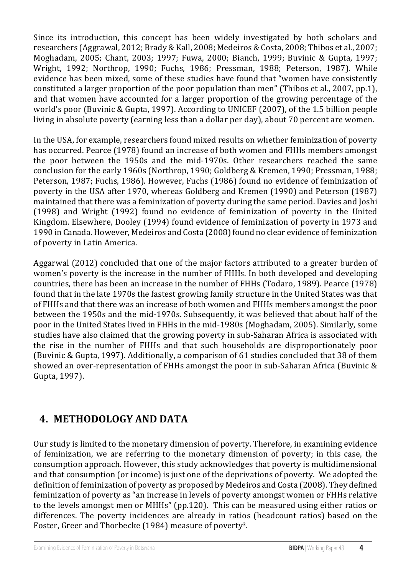Since its introduction, this concept has been widely investigated by both scholars and researchers (Aggrawal, 2012; Brady & Kall, 2008; Medeiros & Costa, 2008; Thibos et al., 2007; Moghadam, 2005; Chant, 2003; 1997; Fuwa, 2000; Bianch, 1999; Buvinic & Gupta, 1997; Wright, 1992; Northrop, 1990; Fuchs, 1986; Pressman, 1988; Peterson, 1987). While evidence has been mixed, some of these studies have found that "women have consistently constituted a larger proportion of the poor population than men" (Thibos et al., 2007, pp.1), and that women have accounted for a larger proportion of the growing percentage of the world's poor (Buvinic & Gupta, 1997). According to UNICEF (2007), of the 1.5 billion people living in absolute poverty (earning less than a dollar per day), about 70 percent are women.

In the USA, for example, researchers found mixed results on whether feminization of poverty has occurred. Pearce (1978) found an increase of both women and FHHs members amongst the poor between the 1950s and the mid-1970s. Other researchers reached the same conclusion for the early 1960s (Northrop, 1990; Goldberg & Kremen, 1990; Pressman, 1988; Peterson, 1987; Fuchs, 1986). However, Fuchs (1986) found no evidence of feminization of poverty in the USA after 1970, whereas Goldberg and Kremen (1990) and Peterson (1987) maintained that there was a feminization of poverty during the same period. Davies and Joshi (1998) and Wright (1992) found no evidence of feminization of poverty in the United Kingdom. Elsewhere, Dooley (1994) found evidence of feminization of poverty in 1973 and 1990 in Canada. However, Medeiros and Costa (2008) found no clear evidence of feminization of poverty in Latin America.

Aggarwal  $(2012)$  concluded that one of the major factors attributed to a greater burden of women's poverty is the increase in the number of FHHs. In both developed and developing countries, there has been an increase in the number of FHHs (Todaro, 1989). Pearce (1978) found that in the late 1970s the fastest growing family structure in the United States was that of FHHs and that there was an increase of both women and FHHs members amongst the poor between the 1950s and the mid-1970s. Subsequently, it was believed that about half of the poor in the United States lived in FHHs in the mid-1980s (Moghadam, 2005). Similarly, some studies have also claimed that the growing poverty in sub-Saharan Africa is associated with the rise in the number of FHHs and that such households are disproportionately poor (Buvinic & Gupta, 1997). Additionally, a comparison of 61 studies concluded that 38 of them showed an over-representation of FHHs amongst the poor in sub-Saharan Africa (Buvinic & Gupta, 1997).

## **4. METHODOLOGY AND DATA**

Our study is limited to the monetary dimension of poverty. Therefore, in examining evidence of feminization, we are referring to the monetary dimension of poverty; in this case, the consumption approach. However, this study acknowledges that poverty is multidimensional and that consumption (or income) is just one of the deprivations of poverty. We adopted the definition of feminization of poverty as proposed by Medeiros and Costa (2008). They defined feminization of poverty as "an increase in levels of poverty amongst women or FHHs relative to the levels amongst men or MHHs" (pp.120). This can be measured using either ratios or differences. The poverty incidences are already in ratios (headcount ratios) based on the Foster, Greer and Thorbecke (1984) measure of poverty<sup>3</sup>.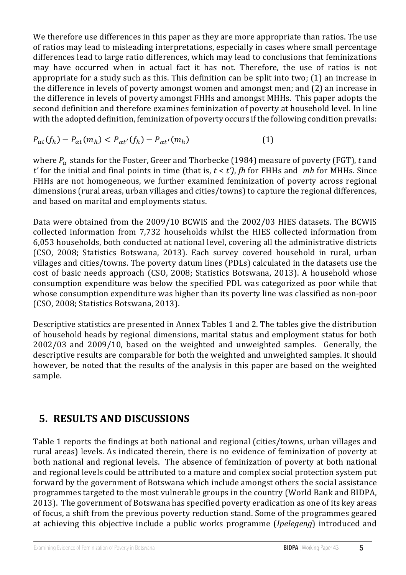We therefore use differences in this paper as they are more appropriate than ratios. The use of ratios may lead to misleading interpretations, especially in cases where small percentage differences lead to large ratio differences, which may lead to conclusions that feminizations may have occurred when in actual fact it has not. Therefore, the use of ratios is not appropriate for a study such as this. This definition can be split into two;  $(1)$  an increase in the difference in levels of poverty amongst women and amongst men; and (2) an increase in the difference in levels of poverty amongst FHHs and amongst MHHs. This paper adopts the second definition and therefore examines feminization of poverty at household level. In line with the adopted definition, feminization of poverty occurs if the following condition prevails:

$$
P_{\alpha t}(f_h) - P_{\alpha t}(m_h) < P_{\alpha t'}(f_h) - P_{\alpha t'}(m_h) \tag{1}
$$

where  $P_\alpha$  stands for the Foster, Greer and Thorbecke (1984) measure of poverty (FGT), *t* and  $t'$  for the initial and final points in time (that is,  $t < t'$ ), *fh* for FHHs and *mh* for MHHs. Since FHHs are not homogeneous, we further examined feminization of poverty across regional dimensions (rural areas, urban villages and cities/towns) to capture the regional differences, and based on marital and employments status.

Data were obtained from the 2009/10 BCWIS and the 2002/03 HIES datasets. The BCWIS collected information from 7,732 households whilst the HIES collected information from 6,053 households, both conducted at national level, covering all the administrative districts (CSO, 2008; Statistics Botswana, 2013). Each survey covered household in rural, urban villages and cities/towns. The poverty datum lines (PDLs) calculated in the datasets use the cost of basic needs approach (CSO, 2008; Statistics Botswana, 2013). A household whose consumption expenditure was below the specified PDL was categorized as poor while that whose consumption expenditure was higher than its poverty line was classified as non-poor (CSO, 2008; Statistics Botswana, 2013).

Descriptive statistics are presented in Annex Tables 1 and 2. The tables give the distribution of household heads by regional dimensions, marital status and employment status for both  $2002/03$  and  $2009/10$ , based on the weighted and unweighted samples. Generally, the descriptive results are comparable for both the weighted and unweighted samples. It should however, be noted that the results of the analysis in this paper are based on the weighted sample. 

### **5. RESULTS AND DISCUSSIONS**

Table 1 reports the findings at both national and regional (cities/towns, urban villages and rural areas) levels. As indicated therein, there is no evidence of feminization of poverty at both national and regional levels. The absence of feminization of poverty at both national and regional levels could be attributed to a mature and complex social protection system put forward by the government of Botswana which include amongst others the social assistance programmes targeted to the most vulnerable groups in the country (World Bank and BIDPA, 2013). The government of Botswana has specified poverty eradication as one of its key areas of focus, a shift from the previous poverty reduction stand. Some of the programmes geared at achieving this objective include a public works programme (*Ipelegeng*) introduced and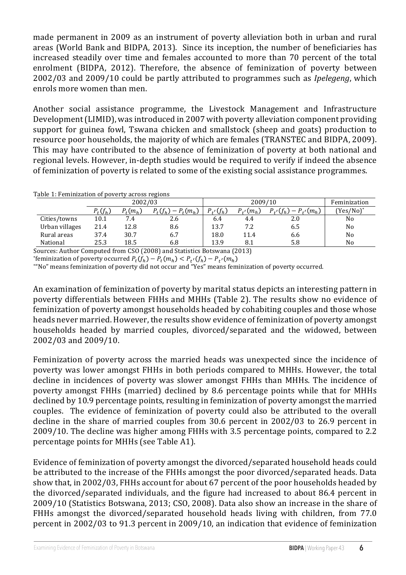made permanent in 2009 as an instrument of poverty alleviation both in urban and rural areas (World Bank and BIDPA, 2013). Since its inception, the number of beneficiaries has increased steadily over time and females accounted to more than 70 percent of the total enrolment (BIDPA, 2012). Therefore, the absence of feminization of poverty between 2002/03 and 2009/10 could be partly attributed to programmes such as *Ipelegeng*, which enrols more women than men.  $\blacksquare$ 

Another social assistance programme, the Livestock Management and Infrastructure Development (LIMID), was introduced in 2007 with poverty alleviation component providing support for guinea fowl, Tswana chicken and smallstock (sheep and goats) production to resource poor households, the majority of which are females (TRANSTEC and BIDPA, 2009). This may have contributed to the absence of feminization of poverty at both national and regional levels. However, in-depth studies would be required to verify if indeed the absence regional revels. However, in depth statistic would be very invariant to very in indeed the absence of feminization of poverty is related to some of the existing social assistance programmes. of feminization of poverty is related to some of the existing social assistance  $\theta$ 

Table 1: Feminization of poverty across regions

|                |            | 2002/03    |                       |               | 2009/10           |                             | Feminization |
|----------------|------------|------------|-----------------------|---------------|-------------------|-----------------------------|--------------|
|                | $P_t(f_h)$ | $P_t(m_h)$ | $P_t(f_h) - P_t(m_h)$ | $P_{t'}(f_h)$ | $P_{t}$ ( $m_h$ ) | $P_{t'}(f_h) - P_{t'}(m_h)$ | $(Yes/No)^*$ |
| Cities/towns   | 10.1       | 7.4        | 2.6                   | 6.4           | 4.4               | 2.0                         | No           |
| Urban villages | 21.4       | 12.8       | 8.6                   | 13.7          | 7.2               | 6.5                         | No           |
| Rural areas    | 37.4       | 30.7       | 6.7                   | 18.0          | 11.4              | 6.6                         | No           |
| National       | 25.3       | 18.5       | 6.8                   | 13.9          | 8.1               | 5.8                         | No           |

Sources: Author Computed from CSO (2008) and Statistics Botswana (2013)

Sources. Author computed nom CSO (2000) and statistics botswana (2013)<br>
\*feminization of poverty occurred  $P_t(f_h) - P_t(f_h) < P_{t'}(f_h) - P_{t'}(m_h)$ 

"No" means feminization of poverty did not occur and "Yes" means feminization of poverty occurred.  $\mathbf{f} = \mathbf{f} \cdot \mathbf{f} + \mathbf{f} \cdot \mathbf{f} + \mathbf{f} \cdot \mathbf{f} + \mathbf{f} \cdot \mathbf{f} + \mathbf{f} \cdot \mathbf{f} + \mathbf{f} \cdot \mathbf{f} + \mathbf{f} \cdot \mathbf{f} + \mathbf{f} \cdot \mathbf{f} + \mathbf{f} \cdot \mathbf{f} + \mathbf{f} \cdot \mathbf{f} + \mathbf{f} \cdot \mathbf{f} + \mathbf{f} \cdot \mathbf{f} + \mathbf{f} \cdot \mathbf{f} + \mathbf{f} \cdot \mathbf{f} + \mathbf$ 

 $\mathbf{v} = \mathbf{v}$  and  $\mathbf{v} = \mathbf{v}$  and  $\mathbf{v} = \mathbf{v}$  is the and  $\mathbf{v} = \mathbf{v}$  and  $\mathbf{v} = \mathbf{v}$  $\frac{1}{2}$  and the comparation of the correct comparation  $\frac{1}{2}$  and  $\frac{1}{2}$  and  $\frac{1}{2}$  and  $\frac{1}{2}$  are comparated to  $\frac{1}{2}$  and  $\frac{1}{2}$  and  $\frac{1}{2}$  are contributed to  $\frac{1}{2}$  and  $\frac{1}{2}$  are contribut  $p$  is the results of poverty amongst nousenous neaued by conabiting couples and those whose ficaus fiever married. However, the results show evidence of feminization of poverty amongst<br>In the contract of the contract of the contract of the contract of the contract of the contract of the contract of the contract households headed by married couples, divorced/separated and the widowed, between  $\frac{\mu}{\sigma}$  and  $\frac{\mu}{\sigma}$  by  $\frac{\mu}{\sigma}$ . An examination of feminization of poverty by marital status depicts an interesting pattern in For examination of commisation of poverty by marrial states depress an interesting pattern in poverty differentials between FHHs and MHHs (Table 2). The results show no evidence of feminization of poverty amongst households headed by cohabiting couples and those whose  $\overline{\phantom{a}}$ heads never married. However, the results show evidence of feminization of poverty amongst 2002/03 and 2009/10. poverty unterentials between Firms and Millis (Table 2). The results show h  $\frac{1}{\sqrt{2}}$  bound  $\frac{1}{\sqrt{2}}$  .

 $\n *Eminization of*\n power\n$  $\frac{1}{2}$  poverty was lower alliongst influsing both periods compared to millis. However, the total  $p$  and the metal poverty was slower amongst FHHs than mills. The incluence of  $p$ poverty amongst FHHs (married) declined by 0.0 percentage points while that for MHHs.  $p$  accuried by 10.9 percentage points, resulting in reminization or poverty amongst the married  $\frac{1}{2}$  interesting the contribution of poverty could also be attributed to the overall decline in the share of married couples from 50.0 percent in 2002/05 to 20.5 percent in  $200$ 2009/10. The decline was higher among FHHs with 3.5 percentage points, compared to 2.2 percentage points for MHHs (see Table A1).  $\frac{1}{\pi}$ Feminization of poverty across the married heads was unexpected since the incidence of poverty was lower amongst FHHs in both periods compared to MHHs. However, the total  $\,$ decline in incidences of poverty was slower amongst FHHs than MHHs. The incidence of poverty amongst FHHs (married) declined by 8.6 percentage points while that for MHHs  $\dot{a}$  declined by 10.9 percentage points, resulting in feminization of poverty amongst the married abonned by 10.9 percentage points, resulting in reminization or poverty amonget the married<br>couples. The evidence of feminization of poverty could also be attributed to the overall decline in the share of married couples from  $30.6$  percent in  $2002/03$  to  $26.9$  percent in poverty  $\mathbf{F}$  and  $\mathbf{F}$   $\mathbf{F}$   $\mathbf{F}$   $\mathbf{F}$  and the total total total total total total total to the total total total total total total total total total total total total total total total total total total  ${\bf r}$  emimization of poverty across the married fieads was unexpected since the  ${\bf r}$ couples. The evidence of remimizar

 $p$ ercentage  $\frac{1}{\sqrt{2}}$ . The MHs (see Table  $\frac{1}{\sqrt{2}}$ . Let all nuclear to the increase of the Fifficial diffusion the poor divorced/separated fieads. Data show that, in 2002/03, FHHs account for about 67 percent of the poor households headed by  $\frac{1}{200}$  shows that in 2002, and the next can increased to about  $\frac{1}{200}$ , percent in  $2002/10$  (statistics botswalla,  $2013$ ,  $030$ ,  $2000$ ). Data also show all filterase in the share of 2009/10 (Statistics Botswana, 2013; CSO, 2008). Data also show an increase in the share of percent in 2002/03 to 91.3 percent in 2009/10, an indication that evidence of feminization  $\overline{\phantom{a}}$ Evidence of feminization of poverty amongst the divorced/separated household heads could be attributed to the increase of the FHHs amongst the poor divorced/separated heads. Data the divorced/separated individuals, and the figure had increased to about 86.4 percent in 2009/10 (Statistics Botswana, 2013; CSO, 2008). Data also show an increase in the share of FHHs amongst the divorced/separated household heads living with children, from  $77.0$ 2009/1009/10 Orthinization of povery annually the arvoired separated nousehol be attributed to the increase of the  $r$  first amongst the poor divorced/separate

percent  $\mathcal{L}$  and  $\mathcal{L}$  and  $\mathcal{L}$  and  $\mathcal{L}$  and  $\mathcal{L}$  and  $\mathcal{L}$  and  $\mathcal{L}$  and  $\mathcal{L}$  are  $\mathcal{L}$  and  $\mathcal{L}$  and  $\mathcal{L}$  and  $\mathcal{L}$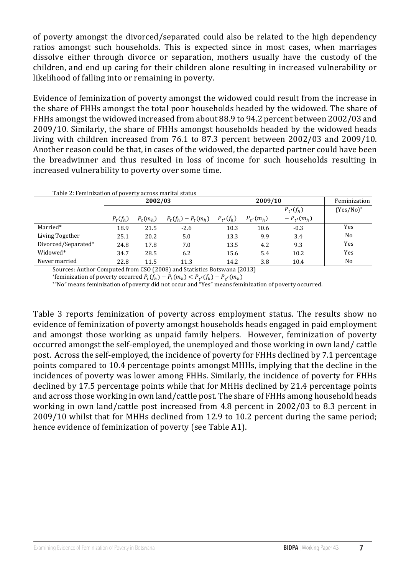children, and end up caring for their children alone resulting in increased vulnerability or likelihood of falling into or remaining in poverty. of poverty amongst the divorced/separated could also be related to the high dependency ratios amongst such households. This is expected since in most cases, when marriages dissolve either through divorce or separation, mothers usually have the custody of the

 $\alpha$  children integration of november emerges the videousd sould result from the suite of  $\alpha$ Evidence of feminization of poverty amongst the widowed could result from the increase in FHHs amongst the widowed increased from about 88.9 to 94.2 percent between 2002/03 and 2009/10. Similarly, the share of FHHs amongst households headed by the widowed heads  $\frac{1}{\sqrt{8}}$  and  $\frac{1}{\sqrt{8}}$  the  $\frac{1}{\sqrt{8}}$  control  $\frac{1}{\sqrt{8}}$  and  $\frac{1}{\sqrt{8}}$  percent between 2002/03 living with children increased from  $76.1$  to  $87.3$  percent between  $2002/03$  and  $2009/10.$ Another reason could be that, in cases of the widowed, the departed partner could have been the breadwinner and thus resulted in loss of income for such households resulting in  $\alpha$  and well pershibity to nover ty over some time increased vulnerability to poverty over some time.  $\overline{\phantom{a}}$ the share of FHHs amongst the total poor households headed by the widowed. The share of

|                     |            | 2002/03    |                       |               | 2009/10       |                | Feminization   |
|---------------------|------------|------------|-----------------------|---------------|---------------|----------------|----------------|
|                     |            |            |                       |               |               | $P_{t'}(f_h)$  | $(Yes/No)^*$   |
|                     | $P_t(f_h)$ | $P_t(m_h)$ | $P_t(f_h) - P_t(m_h)$ | $P_{t'}(f_h)$ | $P_{t'}(m_h)$ | $-P_{t'}(m_h)$ |                |
| Married*            | 18.9       | 21.5       | $-2.6$                | 10.3          | 10.6          | $-0.3$         | Yes            |
| Living Together     | 25.1       | 20.2       | 5.0                   | 13.3          | 9.9           | 3.4            | N <sub>0</sub> |
| Divorced/Separated* | 24.8       | 17.8       | 7.0                   | 13.5          | 4.2           | 9.3            | Yes            |
| Widowed*            | 34.7       | 28.5       | 6.2                   | 15.6          | 5.4           | 10.2           | Yes            |
| Never married       | 22.8       | 11.5       | 11.3                  | 14.2          | 3.8           | 10.4           | N <sub>0</sub> |

Sources: Author Computed from CSO (2008) and Statistics Botswana (2013)

Sources: Author Computed from CSO (2008) and Statistics Botswana (2013)<br>
"feminization of poverty occurred  $P_t(f_h) - P_t(m_h) < P_{t'}(f_h) - P_{t'}(m_h)$ 

**EMIMIZADON** of poverty occurred  $r_t(y_h) - r_t(m_h) \leq r_t'(m_h) - r_t'(m_h)$ <br>"No" means feminization of poverty did not occur and "Yes" means feminization of poverty occurred.  $\mathcal{M}$  is the state  $\mathcal{M}$  and  $\mathcal{M}$  and  $\mathcal{M}$  are defined by  $\mathcal{M}$ 

Table 3 reports feminization of poverty across employment status. The results show no evidence of feminization of poverty amongst households heads engaged in paid employment  $\alpha$  on an act these working as wroid family helpeys. Hewever, familiating and amongst those working as unpaid family helpers. However, feminization of poverty occurred amongst the self-employed, the unemployed and those working in own land/ cattle post. Across the self-employed, the incidence of poverty for FHHs declined by 7.1 percentage post. Across the sen-employed, the incluence of poverty for FHHs declined by 7.1 percentage<br>points compared to 10 4 percentage points amongst MHHs (implying that the decline in the  $\sim$  compared to see the comange points of  $\sim$  Theorem  $\sim$ incidences of poverty was lower among FHHs. Similarly, the incidence of poverty for FHHs declined by 17.5 percentage points while that for MHHs declined by 21.4 percentage points and across those working in own land/cattle post. The share of FHHs among household heads points compared to 10.4 percentage points amongst MHHs, implying that the decline in the  $\frac{1}{2}$ working in own land/cattle post increased from 4.8 percent in 2002/03 to 8.3 percent in 2009/10 whilst that for MHHs declined from 12.9 to 10.2 percent during the same period;<br>. hence evidence of feminization of poverty (see Table A1).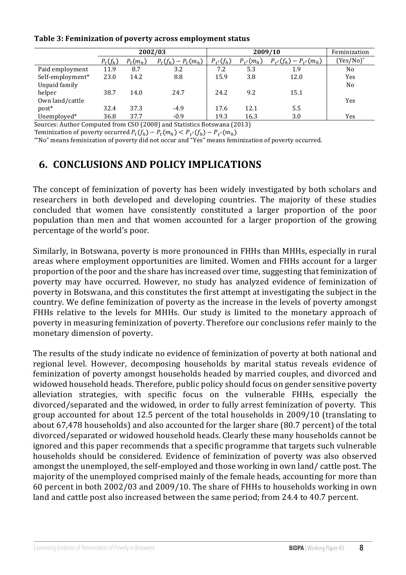#### **2002/03 2009/10** Feminization Table 3: Feminization of poverty across employment status

|                  |            | 2002/03    |                               |               |               | 2009/10                     | Feminization   |
|------------------|------------|------------|-------------------------------|---------------|---------------|-----------------------------|----------------|
|                  | $P_t(f_h)$ | $P_t(m_h)$ | $P_{t}(f_{h}) - P_{t}(m_{h})$ | $P_{t'}(f_h)$ | $P_{t'}(m_h)$ | $P_{t'}(f_h) - P_{t'}(m_h)$ | (Yes/No)*      |
| Paid employment  | 11.9       | 8.7        | 3.2                           | 7.2           | 5.3           | 1.9                         | N <sub>o</sub> |
| Self-employment* | 23.0       | 14.2       | 8.8                           | 15.9          | 3.8           | 12.0                        | Yes            |
| Unpaid family    |            |            |                               |               |               |                             | No             |
| helper           | 38.7       | 14.0       | 24.7                          | 24.2          | 9.2           | 15.1                        |                |
| Own land/cattle  |            |            |                               |               |               |                             | Yes            |
| post*            | 32.4       | 37.3       | $-4.9$                        | 17.6          | 12.1          | 5.5                         |                |
| Unemployed*      | 36.8       | 37.7       | $-0.9$                        | 19.3          | 16.3          | 3.0                         | Yes            |

Sources: Author Computed from CSO (2008) and Statistics Botswana (2013)<br>\*feminization of poverty equipped  $R(f) = R(f) = R(f) = R(f)$ Sources: Author Computed from CSO (2008) and Statistics Botswana (2013)

\*feminization of poverty occurred  $P_t(f_h) - P_t(m_h) < P_{t'}(f_h) - P_{t'}(m_h)$ 

**\*"No"** means feminization of poverty did not occur and "Yes" means feminization of poverty occurred.

## **6. CONCLUSIONS AND POLICY IMPLICATIONS 6. CONCLUSIONS AND POLICY IMPLICATIONS**

The concept of feminization of poverty has been widely investigated by both scholars and researchers in both developed and developing countries. The majority of these studies concluded that women have consistently constituted a larger proportion of the poor population than men and that women accounted for a larger proportion of the growing  $\,$ percentage of the world's poor. concluded that women have consistently constituted a larger proportion

Similarly, in Botswana, poverty is more pronounced in FHHs than MHHs, especially in rural arrithment, the state and proportunities are limited. Women and FHHs account for a larger proportion of the poor and the share has increased over time, suggesting that feminization of poverty may have occurred. However, no study has analyzed evidence of feminization of  $\,$ poverty in Botswana, and this constitutes the first attempt at investigating the subject in the country. We define feminization of poverty as the increase in the levels of poverty amongst FHHs relative to the levels for MHHs. Our study is limited to the monetary approach of poverty in measuring feminization of poverty. Therefore our conclusions refer mainly to the  $\,$ monetary dimension of poverty.  $\blacksquare$ arcas where employment opportunities are immed. Women and I files account proportion of the poor and the share has increased over time, suggesting that  $\mathfrak{u}$ 

The results of the study indicate no evidence of feminization of poverty at both national and regional level. However, decomposing households by marital status reveals evidence of Fegional fover from overty accomposing modellings by married couples, and divorced and feminization of poverty amongst households headed by married couples, and divorced and widowed household heads. Therefore, public policy should focus on gender sensitive poverty  $\,$ alleviation strategies, with specific focus on the vulnerable FHHs, especially the  $\,$ divorced/separated and the widowed, in order to fully arrest feminization of poverty. This group accounted for about 12.5 percent of the total households in 2009/10 (translating to about  $67,478$  households) and also accounted for the larger share  $(80.7 \text{ percent})$  of the total divorced/separated or widowed household heads. Clearly these many households cannot be  $\overline{a}$ ignored and this paper recommends that a specific programme that targets such vulnerable  $\,$ households should be considered. Evidence of feminization of poverty was also observed amongst the unemployed, the self-employed and those working in own land/ cattle post. The majority of the unemployed comprised mainly of the female heads, accounting for more than 60 percent in both  $2002/03$  and  $2009/10$ . The share of FHHs to households working in own land and cattle post also increased between the same period; from 24.4 to 40.7 percent.  $\overline{a}$  $f$ emmization of poverty amongst households headed by married couples, and about  $0$ ,  $\pi$ ,  $\sigma$  households) and also accounted for the larger share ( $\sigma$ 0, percent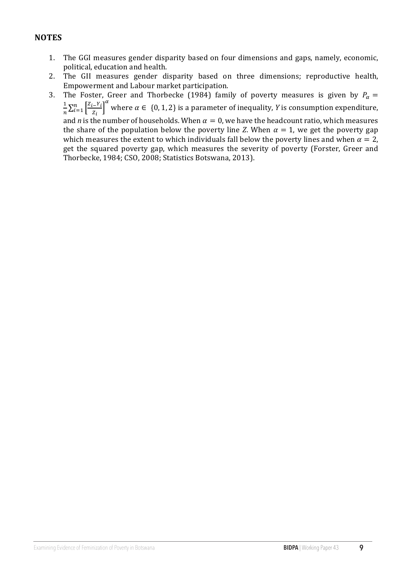#### **NOTES**

- 1. The GGI measures gender disparity based on four dimensions and gaps, namely, economic, political, education and health.
- 2. The GII measures gender disparity based on three dimensions; reproductive health, Empowerment and Labour market participation.
- 3. The Foster, Greer and Thorbecke (1984) family of poverty measures is given by  $P_{\alpha}$  =  $\overline{1}$  $\boldsymbol{n}$  $z_{i-1}$  $z_i$  $\int_{i=1}^{n} \left[\frac{Z_i-Y_i}{Z_i}\right]^{\alpha}$  where  $\alpha \in \{0,1,2\}$  is a parameter of inequality, *Y* is consumption expenditure, and *n* is the number of households. When  $\alpha = 0$ , we have the headcount ratio, which measures the share of the population below the poverty line *Z*. When  $\alpha = 1$ , we get the poverty gap which measures the extent to which individuals fall below the poverty lines and when  $\alpha = 2$ , get the squared poverty gap, which measures the severity of poverty (Forster, Greer and Thorbecke, 1984; CSO, 2008; Statistics Botswana, 2013).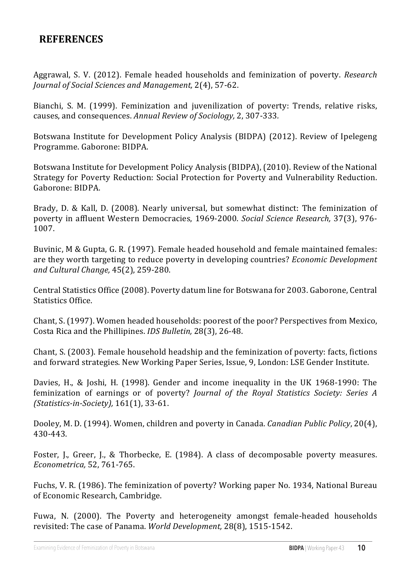### **REFERENCES**

Aggrawal, S. V. (2012). Female headed households and feminization of poverty. *Research Journal of Social Sciences and Management,* 2(4), 57-62.

Bianchi, S. M. (1999). Feminization and juvenilization of poverty: Trends, relative risks, causes, and consequences. Annual Review of Sociology, 2, 307-333.

Botswana Institute for Development Policy Analysis (BIDPA) (2012). Review of Ipelegeng Programme. Gaborone: BIDPA.

Botswana Institute for Development Policy Analysis (BIDPA), (2010). Review of the National Strategy for Poverty Reduction: Social Protection for Poverty and Vulnerability Reduction. Gaborone: BIDPA.

Brady, D. & Kall, D. (2008). Nearly universal, but somewhat distinct: The feminization of poverty in affluent Western Democracies, 1969-2000. *Social Science Research*, 37(3), 976-1007.

Buvinic, M & Gupta, G. R. (1997). Female headed household and female maintained females: are they worth targeting to reduce poverty in developing countries? *Economic Development and Cultural Change,* 45(2), 259-280.

Central Statistics Office (2008). Poverty datum line for Botswana for 2003. Gaborone, Central Statistics Office.

Chant, S. (1997). Women headed households: poorest of the poor? Perspectives from Mexico, Costa Rica and the Phillipines. *IDS Bulletin*, 28(3), 26-48.

Chant, S. (2003). Female household headship and the feminization of poverty: facts, fictions and forward strategies. New Working Paper Series, Issue, 9, London: LSE Gender Institute.

Davies, H., & Joshi, H. (1998). Gender and income inequality in the UK 1968-1990: The feminization of earnings or of poverty? *Journal of the Royal Statistics Society: Series A (Statistics-in-Society),* 161(1), 33-61.

Dooley, M. D. (1994). Women, children and poverty in Canada. *Canadian Public Policy*, 20(4), 430-443.

Foster, J., Greer, J., & Thorbecke, E. (1984). A class of decomposable poverty measures. *Econometrica,* 52, 761-765.

Fuchs, V. R. (1986). The feminization of poverty? Working paper No. 1934, National Bureau of Economic Research, Cambridge.

Fuwa, N. (2000). The Poverty and heterogeneity amongst female-headed households revisited: The case of Panama. *World Development*, 28(8), 1515-1542.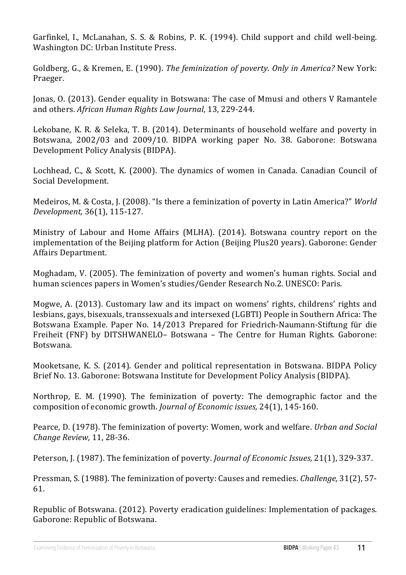Garfinkel, I., McLanahan, S. S. & Robins, P. K. (1994). Child support and child well-being. Washington DC: Urban Institute Press.

Goldberg, G., & Kremen, E. (1990). *The feminization of poverty. Only in America?* New York: Praeger.

Jonas, O. (2013). Gender equality in Botswana: The case of Mmusi and others V Ramantele and others. *African Human Rights Law Journal*, 13, 229-244.

Lekobane, K. R. & Seleka, T. B. (2014). Determinants of household welfare and poverty in Botswana, 2002/03 and 2009/10. BIDPA working paper No. 38. Gaborone: Botswana Development Policy Analysis (BIDPA).

Lochhead, C., & Scott, K.  $(2000)$ . The dynamics of women in Canada. Canadian Council of Social Development.

Medeiros, M. & Costa, J. (2008). "Is there a feminization of poverty in Latin America?" *World Development,* 36(1), 115-127*.*

Ministry of Labour and Home Affairs (MLHA). (2014). Botswana country report on the implementation of the Beijing platform for Action (Beijing Plus20 years). Gaborone: Gender Affairs Department.

Moghadam, V. (2005). The feminization of poverty and women's human rights. Social and human sciences papers in Women's studies/Gender Research No.2. UNESCO: Paris.

Mogwe, A. (2013). Customary law and its impact on womens' rights, childrens' rights and lesbians, gays, bisexuals, transsexuals and intersexed (LGBTI) People in Southern Africa: The Botswana Example. Paper No. 14/2013 Prepared for Friedrich-Naumann-Stiftung für die Freiheit (FNF) by DITSHWANELO- Botswana - The Centre for Human Rights. Gaborone: Botswana.

Mooketsane, K. S. (2014). Gender and political representation in Botswana. BIDPA Policy Brief No. 13. Gaborone: Botswana Institute for Development Policy Analysis (BIDPA).

Northrop, E. M. (1990). The feminization of poverty: The demographic factor and the composition of economic growth. *Journal of Economic issues*, 24(1), 145-160.

Pearce, D. (1978). The feminization of poverty: Women, work and welfare. *Urban and Social Change Review,* 11, 28-36.

Peterson, J. (1987). The feminization of poverty. *Journal of Economic Issues*, 21(1), 329-337.

Pressman, S. (1988). The feminization of poverty: Causes and remedies. *Challenge*, 31(2), 57-61.

Republic of Botswana. (2012). Poverty eradication guidelines: Implementation of packages. Gaborone: Republic of Botswana.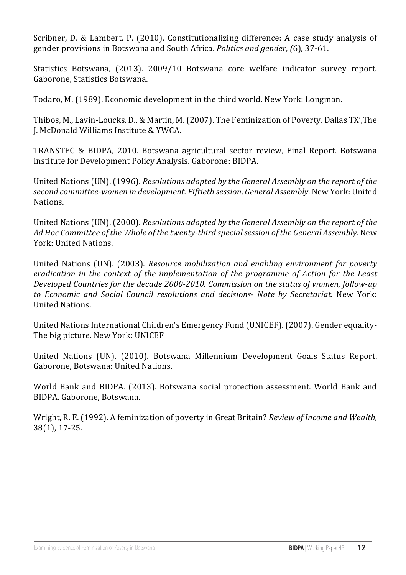Scribner, D. & Lambert, P. (2010). Constitutionalizing difference: A case study analysis of gender provisions in Botswana and South Africa. *Politics and gender*, (6), 37-61.

Statistics Botswana, (2013). 2009/10 Botswana core welfare indicator survey report. Gaborone, Statistics Botswana.

Todaro, M. (1989). Economic development in the third world. New York: Longman.

Thibos, M., Lavin-Loucks, D., & Martin, M. (2007). The Feminization of Poverty. Dallas TX', The J. McDonald Williams Institute & YWCA.

TRANSTEC & BIDPA, 2010. Botswana agricultural sector review, Final Report. Botswana Institute for Development Policy Analysis. Gaborone: BIDPA.

United Nations (UN). (1996). *Resolutions adopted by the General Assembly on the report of the* second committee-women in development. Fiftieth session, General Assembly. New York: United Nations.

United Nations (UN). (2000). *Resolutions adopted by the General Assembly on the report of the* Ad Hoc Committee of the Whole of the twenty-third special session of the General Assembly. New York: United Nations.

United Nations (UN). (2003). *Resource mobilization and enabling environment for poverty eradication* in the context of the implementation of the programme of Action for the Least Developed Countries for the decade 2000-2010. Commission on the status of women, follow-up to Economic and Social Council resolutions and decisions- Note by Secretariat. New York: United Nations.

United Nations International Children's Emergency Fund (UNICEF). (2007). Gender equality-The big picture. New York: UNICEF

United Nations (UN). (2010). Botswana Millennium Development Goals Status Report. Gaborone, Botswana: United Nations.

World Bank and BIDPA. (2013). Botswana social protection assessment. World Bank and BIDPA. Gaborone, Botswana.

Wright, R. E. (1992). A feminization of poverty in Great Britain? *Review of Income and Wealth*, 38(1), 17-25.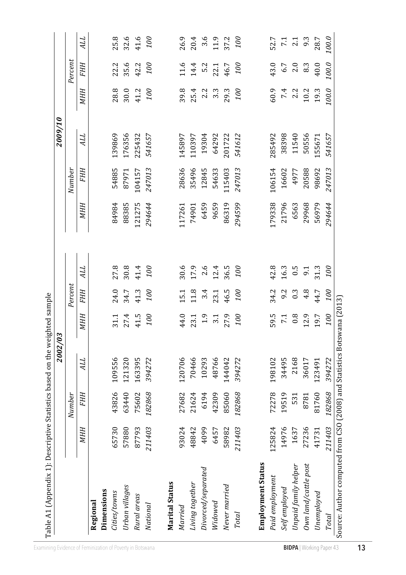| Table A1 (Appendix 1): Descriptive Statistics based on the weighted sample |        |        | 2002/03 |                 |            |      |        |        | 00/6002    |       |            |                  |
|----------------------------------------------------------------------------|--------|--------|---------|-----------------|------------|------|--------|--------|------------|-------|------------|------------------|
|                                                                            |        | Number |         |                 | Percent    |      |        | Number |            |       | Percent    |                  |
|                                                                            | МНН    | FHH    | ALL     | МНН             | <b>FHH</b> | ALL  | МНН    | FHH    | <b>TTP</b> | MНH   | <b>FHH</b> | <b>ALL</b>       |
| Regional                                                                   |        |        |         |                 |            |      |        |        |            |       |            |                  |
| Dimensions                                                                 |        |        |         |                 |            |      |        |        |            |       |            |                  |
| Cities/towns                                                               | 65730  | 43826  | 109556  | 31.1            | 24.0       | 27.8 | 84984  | 54885  | 139869     | 28.8  | 22.2       | 25.8             |
| Urban villages                                                             | 57880  | 63440  | 121320  | 27.4            | 34.7       | 30.8 | 88385  | 87971  | 176356     | 30.0  | 35.6       | 32.6             |
| Rural areas                                                                | 87793  | 75602  | 163395  | 41.5            | 41.3       | 41.4 | 121275 | 104157 | 225432     | 41.2  | 42.2       | 41.6             |
| National                                                                   | 211403 | 182868 | 394272  | <b>00</b>       | 100        | 100  | 294644 | 247013 | 541657     | 100   | 00         | 100              |
|                                                                            |        |        |         |                 |            |      |        |        |            |       |            |                  |
| <b>Marital Status</b>                                                      |        |        |         |                 |            |      |        |        |            |       |            |                  |
| Married                                                                    | 93024  | 27682  | 120706  | 44.0            | 15.1       | 30.6 | 117261 | 28636  | 145897     | 39.8  | 11.6       | 26.9             |
| Living together                                                            | 48842  | 21624  | 70466   | 23.1            | 11.8       | 17.9 | 74901  | 35496  | 110397     | 25.4  | 14.4       | 20.4             |
| Divorced/separated                                                         | 4099   | 6194   | 10293   | 1.9             | 3.4        | 2.6  | 6459   | 12845  | 19304      | 2.2   | 5.2        | 3.6              |
| Widowed                                                                    | 6457   | 42309  | 48766   | 3.1             | 23.1       | 12.4 | 9659   | 54633  | 64292      | 3.3   | 22.1       | 11.9             |
| Never married                                                              | 58982  | 85060  | 144042  | 27.9            | 46.5       | 36.5 | 86319  | 115403 | 201722     | 29.3  | 46.7       | 37.2             |
| <b>Total</b>                                                               | 211403 | 182868 | 394272  | 100             | <b>00</b>  | oor  | 294599 | 247013 | 541612     | 100   | 100        | oor              |
|                                                                            |        |        |         |                 |            |      |        |        |            |       |            |                  |
| <b>Employment Status</b>                                                   |        |        |         |                 |            |      |        |        |            |       |            |                  |
| Paid employment                                                            | 125824 | 72278  | 198102  | 59.5            | 34.2       | 42.8 | 179338 | 106154 | 285492     | 60.9  | 43.0       | 52.7             |
| Self employed                                                              | 14976  | 19519  | 34495   | $\overline{71}$ | 9.2        | 16.3 | 21796  | 16602  | 38398      | 7.4   | 6.7        | $\overline{7.1}$ |
| Unpaid family helper                                                       | 1637   | 531    | 2168    | 0.8             | 0.3        | 0.5  | 6563   | 4977   | 11540      | 2.2   | 2.0        | $\frac{1}{9}$ .3 |
| Own land/cattle post                                                       | 27236  | 8781   | 36017   | 12.9            | 4.8        | 51   | 29968  | 20588  | 50556      | 10.2  | 8.3        |                  |
| Unemployed                                                                 | 41731  | 81760  | 123491  | 19.7            | 44.7       | 31.3 | 56979  | 98692  | 155671     | 19.3  | 40.0       | 28.7             |
| Total                                                                      | 211403 | 182868 | 394272  | 100             | 100        | 00   | 294644 | 247013 | 541657     | 100.0 | 100.0      | 100.0            |
| Source: Author computed from CSO (2008) and Statistics Botswana (2013)     |        |        |         |                 |            |      |        |        |            |       |            |                  |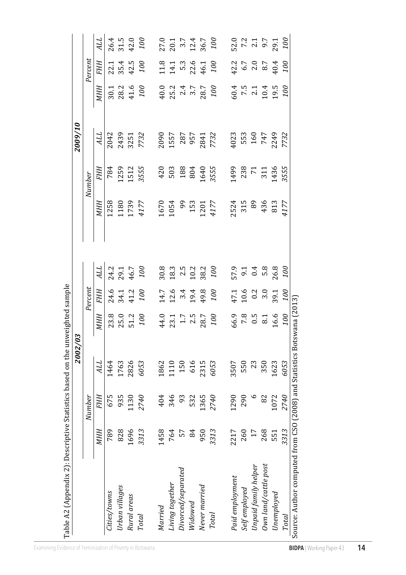| Table A2 (Appendix 2): Descriptive Statistics                          |            |            | based on the unweighted sample |                                    |                                    |                                                                                   |            |                |                           |                    |                                                                    |                                     |
|------------------------------------------------------------------------|------------|------------|--------------------------------|------------------------------------|------------------------------------|-----------------------------------------------------------------------------------|------------|----------------|---------------------------|--------------------|--------------------------------------------------------------------|-------------------------------------|
|                                                                        |            |            | 2002/03                        |                                    |                                    |                                                                                   |            |                | 2009/10                   |                    |                                                                    |                                     |
|                                                                        |            | Number     |                                |                                    | Percent                            |                                                                                   |            | Number         |                           |                    | Percent                                                            |                                     |
|                                                                        | <b>MHH</b> | <b>FHH</b> | ALL                            | <b>MHH</b>                         | <b>FHH</b>                         | ALL                                                                               | <b>MHH</b> | FHH            | ALL                       | <b>MHH</b>         | <b>FHH</b>                                                         | ALL                                 |
| Cities/towns                                                           | 789        | 675        | 1464                           | 23.8                               |                                    |                                                                                   | 1258       | 784            | 2042                      | 30.1               |                                                                    |                                     |
| Urban villages                                                         | 828        | 935        | 1763                           |                                    | 24.6<br>34.1<br>41.2<br>100        | 24.2<br>29.1<br>46.7<br>100                                                       | 1180       | 1259           | 2439                      | 28.2<br>41.6       | $22.1$<br>$35.4$<br>$42.5$<br>$100$                                | 26.4<br>31.5<br>42.0<br>100         |
| Rural areas                                                            | 1696       | 130        | 2826                           | 25.0<br>51.2                       |                                    |                                                                                   | 1739       | 1512           | 3251                      |                    |                                                                    |                                     |
| <b>Total</b>                                                           | 3313       | 2740       | 6053                           | 100                                |                                    |                                                                                   | 4177       | 3555           | 7732                      | 100                |                                                                    |                                     |
| Married                                                                | 1458       | 404        | 1862                           | 44.0                               |                                    |                                                                                   | 1670       | 420            |                           |                    |                                                                    |                                     |
| Living together                                                        | 764        | 346        | 1110                           | $23.1$<br>$1.7$<br>$2.5$<br>$28.7$ | $14.7$<br>$12.6$<br>$3.4$          | $\begin{array}{c} 30.8 \\ 20.7 \\ 10.7 \\ 30.8 \\ 10.7 \\ 100 \\ 100 \end{array}$ | 1054       | 503            | 2090<br>1557              |                    | $11.8$<br>$14.1$<br>$14.3$<br>$14.5$<br>$14.1$<br>$14.5$<br>$14.7$ | 27.0<br>20.1<br>3.7<br>26.7<br>36.7 |
| Divorced/separated                                                     | 57         | 93         | 150                            |                                    |                                    |                                                                                   | 99         | 188            |                           |                    |                                                                    |                                     |
| Widowed                                                                | 84         | 532        | 616                            |                                    |                                    |                                                                                   | 153        | 804            | 287<br>957                |                    |                                                                    |                                     |
| Never married                                                          | 950        | 1365       | 2315                           |                                    | 19.4<br>49.8                       |                                                                                   | 1201       | 1640           | 2841<br>7732              |                    |                                                                    |                                     |
| Total                                                                  | 3313       | 2740       | 6053                           | 100                                | 100                                |                                                                                   | 4177       | 3555           |                           |                    |                                                                    |                                     |
|                                                                        |            |            |                                |                                    |                                    |                                                                                   |            |                |                           |                    |                                                                    |                                     |
| Paid employment                                                        | 2217       | 1290       | 3507                           | 66.9                               |                                    |                                                                                   | 2524       | 1499           | 4023                      |                    |                                                                    |                                     |
| Self employed                                                          | 260        | 290        | 550                            | 7.8                                |                                    |                                                                                   | 315        | 238            |                           |                    |                                                                    |                                     |
| Unpaid family helper                                                   | 17         | $\circ$    | 23                             | 0.5                                | $47.1$<br>$10.6$<br>$0.2$<br>$3.0$ | 57.1<br>5 1 4 8 8<br>5 9 5 8 8                                                    | 89         | $\overline{r}$ | 553<br>160<br>747<br>2249 | $\frac{36}{7}$ 5.1 | $42.7$<br>$40.7$<br>$40.7$<br>$40.4$                               | 52.0<br>7.2<br>9.7<br>9.1<br>29.1   |
| Own land/cattle post                                                   | 268        | 82         | 350                            | 8.1                                |                                    |                                                                                   | 436<br>813 | 311            |                           | $10.4$<br>$19.5$   |                                                                    |                                     |
| Unemployed                                                             | 551        | 1072       | 1623                           | 16.6                               | 39.1                               |                                                                                   |            | 1436           |                           |                    |                                                                    |                                     |
| Total                                                                  | 3313       | 2740       | 6053                           | 00                                 | oo                                 | 00                                                                                | 4177       | 3555           | 7732                      | oo                 | 100                                                                | 100                                 |
| Source: Author computed from CSO (2008) and Statistics Botswana (2013) |            |            |                                |                                    |                                    |                                                                                   |            |                |                           |                    |                                                                    |                                     |
|                                                                        |            |            |                                |                                    |                                    |                                                                                   |            |                |                           |                    |                                                                    |                                     |

 $\ddot{\phantom{a}}$  $\ddot{\phantom{a}}$ - ਚੌ